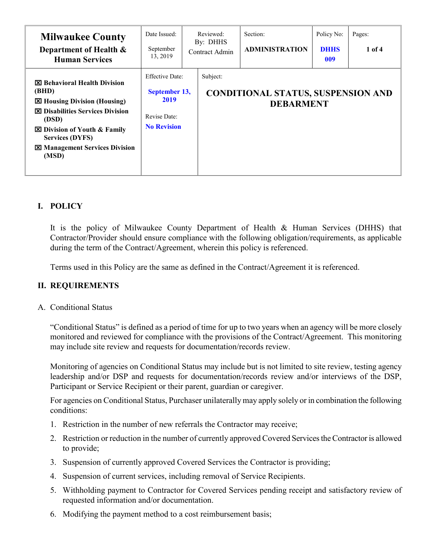| <b>Milwaukee County</b><br>Department of Health &<br><b>Human Services</b>                                                                                                                                                                    | Date Issued:<br>September<br>13, 2019                                                 | Reviewed:<br>By: DHHS<br>Contract Admin | Section:<br><b>ADMINISTRATION</b>                      | Policy No:<br><b>DHHS</b><br>009 | Pages:<br>1 of 4 |
|-----------------------------------------------------------------------------------------------------------------------------------------------------------------------------------------------------------------------------------------------|---------------------------------------------------------------------------------------|-----------------------------------------|--------------------------------------------------------|----------------------------------|------------------|
| <b>図 Behavioral Health Division</b><br>(BHD)<br>⊠ Housing Division (Housing)<br><b>区 Disabilities Services Division</b><br>(DSD)<br>⊠ Division of Youth & Family<br><b>Services (DYFS)</b><br><b>EX Management Services Division</b><br>(MSD) | <b>Effective Date:</b><br>September 13,<br>2019<br>Revise Date:<br><b>No Revision</b> | Subject:                                | CONDITIONAL STATUS, SUSPENSION AND<br><b>DEBARMENT</b> |                                  |                  |

# **I. POLICY**

It is the policy of Milwaukee County Department of Health & Human Services (DHHS) that Contractor/Provider should ensure compliance with the following obligation/requirements, as applicable during the term of the Contract/Agreement, wherein this policy is referenced.

Terms used in this Policy are the same as defined in the Contract/Agreement it is referenced.

## **II. REQUIREMENTS**

## A. Conditional Status

"Conditional Status" is defined as a period of time for up to two years when an agency will be more closely monitored and reviewed for compliance with the provisions of the Contract/Agreement. This monitoring may include site review and requests for documentation/records review.

Monitoring of agencies on Conditional Status may include but is not limited to site review, testing agency leadership and/or DSP and requests for documentation/records review and/or interviews of the DSP, Participant or Service Recipient or their parent, guardian or caregiver.

For agencies on Conditional Status, Purchaser unilaterally may apply solely or in combination the following conditions:

- 1. Restriction in the number of new referrals the Contractor may receive;
- 2. Restriction or reduction in the number of currently approved Covered Services the Contractor is allowed to provide;
- 3. Suspension of currently approved Covered Services the Contractor is providing;
- 4. Suspension of current services, including removal of Service Recipients.
- 5. Withholding payment to Contractor for Covered Services pending receipt and satisfactory review of requested information and/or documentation.
- 6. Modifying the payment method to a cost reimbursement basis;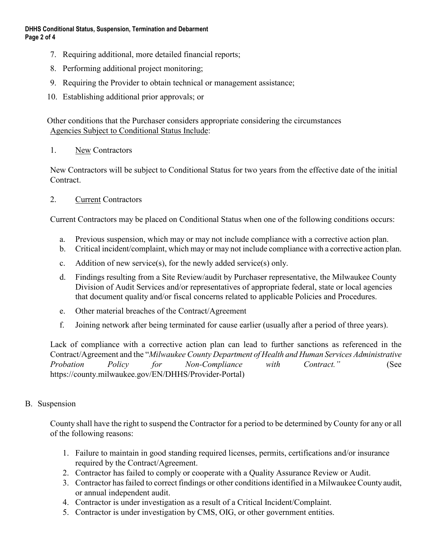- 7. Requiring additional, more detailed financial reports;
- 8. Performing additional project monitoring;
- 9. Requiring the Provider to obtain technical or management assistance;
- 10. Establishing additional prior approvals; or

Other conditions that the Purchaser considers appropriate considering the circumstances Agencies Subject to Conditional Status Include:

1. New Contractors

New Contractors will be subject to Conditional Status for two years from the effective date of the initial Contract.

2. Current Contractors

Current Contractors may be placed on Conditional Status when one of the following conditions occurs:

- a. Previous suspension, which may or may not include compliance with a corrective action plan.
- b. Critical incident/complaint, which may or may not include compliance with a corrective action plan.
- c. Addition of new service(s), for the newly added service(s) only.
- d. Findings resulting from a Site Review/audit by Purchaser representative, the Milwaukee County Division of Audit Services and/or representatives of appropriate federal, state or local agencies that document quality and/or fiscal concerns related to applicable Policies and Procedures.
- e. Other material breaches of the Contract/Agreement
- f. Joining network after being terminated for cause earlier (usually after a period of three years).

Lack of compliance with a corrective action plan can lead to further sanctions as referenced in the Contract/Agreement and the "*Milwaukee County Department of Health and Human Services Administrative Probation Policy for Non-Compliance with Contract."* (See https://county.milwaukee.gov/EN/DHHS/Provider-Portal)

## B. Suspension

County shall have the right to suspend the Contractor for a period to be determined by County for any or all of the following reasons:

- 1. Failure to maintain in good standing required licenses, permits, certifications and/or insurance required by the Contract/Agreement.
- 2. Contractor has failed to comply or cooperate with a Quality Assurance Review or Audit.
- 3. Contractor has failed to correct findings or other conditions identified in a Milwaukee County audit, or annual independent audit.
- 4. Contractor is under investigation as a result of a Critical Incident/Complaint.
- 5. Contractor is under investigation by CMS, OIG, or other government entities.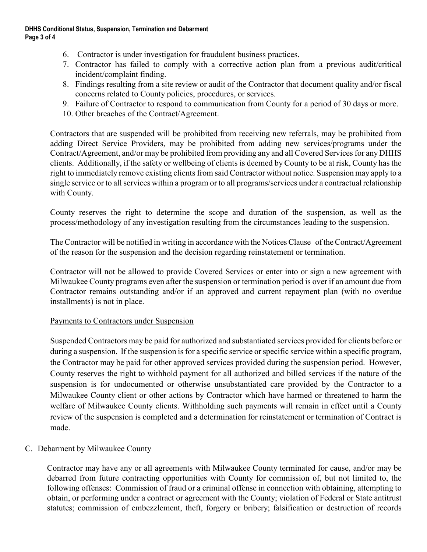#### **DHHS Conditional Status, Suspension, Termination and Debarment Page 3 of 4**

- 6. Contractor is under investigation for fraudulent business practices.
- 7. Contractor has failed to comply with a corrective action plan from a previous audit/critical incident/complaint finding.
- 8. Findings resulting from a site review or audit of the Contractor that document quality and/or fiscal concerns related to County policies, procedures, or services.
- 9. Failure of Contractor to respond to communication from County for a period of 30 days or more.
- 10. Other breaches of the Contract/Agreement.

Contractors that are suspended will be prohibited from receiving new referrals, may be prohibited from adding Direct Service Providers, may be prohibited from adding new services/programs under the Contract/Agreement, and/or may be prohibited from providing any and all Covered Services for any DHHS clients. Additionally, if the safety or wellbeing of clients is deemed by County to be at risk, County has the right to immediately remove existing clients from said Contractor without notice. Suspension may apply to a single service or to all services within a program or to all programs/services under a contractual relationship with County.

County reserves the right to determine the scope and duration of the suspension, as well as the process/methodology of any investigation resulting from the circumstances leading to the suspension.

The Contractor will be notified in writing in accordance with the Notices Clause of the Contract/Agreement of the reason for the suspension and the decision regarding reinstatement or termination.

Contractor will not be allowed to provide Covered Services or enter into or sign a new agreement with Milwaukee County programs even after the suspension or termination period is over if an amount due from Contractor remains outstanding and/or if an approved and current repayment plan (with no overdue installments) is not in place.

## Payments to Contractors under Suspension

Suspended Contractors may be paid for authorized and substantiated services provided for clients before or during a suspension. If the suspension is for a specific service or specific service within a specific program, the Contractor may be paid for other approved services provided during the suspension period. However, County reserves the right to withhold payment for all authorized and billed services if the nature of the suspension is for undocumented or otherwise unsubstantiated care provided by the Contractor to a Milwaukee County client or other actions by Contractor which have harmed or threatened to harm the welfare of Milwaukee County clients. Withholding such payments will remain in effect until a County review of the suspension is completed and a determination for reinstatement or termination of Contract is made.

## C. Debarment by Milwaukee County

Contractor may have any or all agreements with Milwaukee County terminated for cause, and/or may be debarred from future contracting opportunities with County for commission of, but not limited to, the following offenses: Commission of fraud or a criminal offense in connection with obtaining, attempting to obtain, or performing under a contract or agreement with the County; violation of Federal or State antitrust statutes; commission of embezzlement, theft, forgery or bribery; falsification or destruction of records